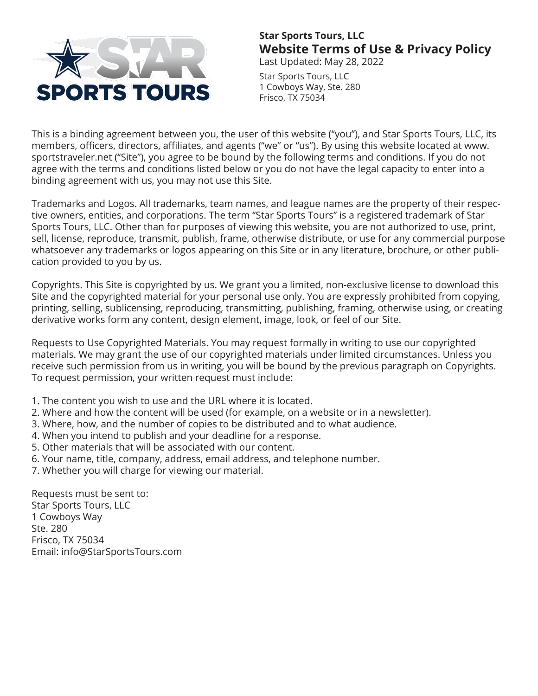

# **Star Sports Tours, LLC Website Terms of Use & Privacy Policy**

Last Updated: May 28, 2022

Star Sports Tours, LLC 1 Cowboys Way, Ste. 280 Frisco, TX 75034

This is a binding agreement between you, the user of this website ("you"), and Star Sports Tours, LLC, its members, officers, directors, affiliates, and agents ("we" or "us"). By using this website located at www. sportstraveler.net ("Site"), you agree to be bound by the following terms and conditions. If you do not agree with the terms and conditions listed below or you do not have the legal capacity to enter into a binding agreement with us, you may not use this Site.

Trademarks and Logos. All trademarks, team names, and league names are the property of their respective owners, entities, and corporations. The term "Star Sports Tours" is a registered trademark of Star Sports Tours, LLC. Other than for purposes of viewing this website, you are not authorized to use, print, sell, license, reproduce, transmit, publish, frame, otherwise distribute, or use for any commercial purpose whatsoever any trademarks or logos appearing on this Site or in any literature, brochure, or other publication provided to you by us.

Copyrights. This Site is copyrighted by us. We grant you a limited, non-exclusive license to download this Site and the copyrighted material for your personal use only. You are expressly prohibited from copying, printing, selling, sublicensing, reproducing, transmitting, publishing, framing, otherwise using, or creating derivative works form any content, design element, image, look, or feel of our Site.

Requests to Use Copyrighted Materials. You may request formally in writing to use our copyrighted materials. We may grant the use of our copyrighted materials under limited circumstances. Unless you receive such permission from us in writing, you will be bound by the previous paragraph on Copyrights. To request permission, your written request must include:

- 1. The content you wish to use and the URL where it is located.
- 2. Where and how the content will be used (for example, on a website or in a newsletter).
- 3. Where, how, and the number of copies to be distributed and to what audience.
- 4. When you intend to publish and your deadline for a response.
- 5. Other materials that will be associated with our content.
- 6. Your name, title, company, address, email address, and telephone number.
- 7. Whether you will charge for viewing our material.

Requests must be sent to: Star Sports Tours, LLC 1 Cowboys Way Ste. 280 Frisco, TX 75034 Email: info@StarSportsTours.com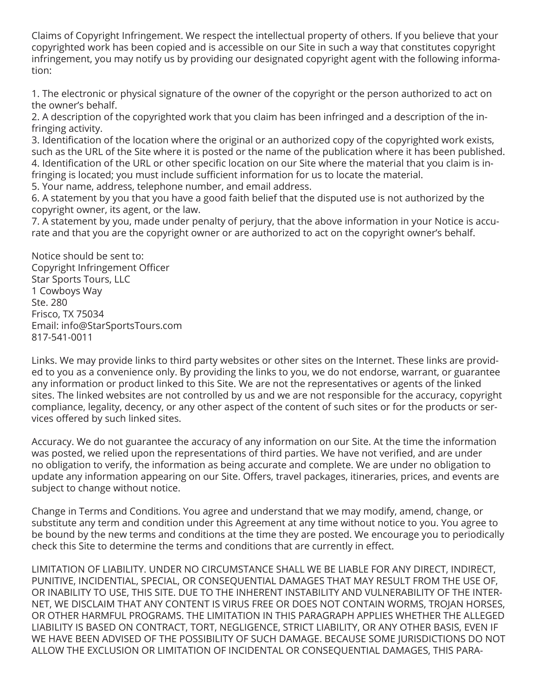Claims of Copyright Infringement. We respect the intellectual property of others. If you believe that your copyrighted work has been copied and is accessible on our Site in such a way that constitutes copyright infringement, you may notify us by providing our designated copyright agent with the following information:

1. The electronic or physical signature of the owner of the copyright or the person authorized to act on the owner's behalf.

2. A description of the copyrighted work that you claim has been infringed and a description of the infringing activity.

3. Identification of the location where the original or an authorized copy of the copyrighted work exists, such as the URL of the Site where it is posted or the name of the publication where it has been published. 4. Identification of the URL or other specific location on our Site where the material that you claim is infringing is located; you must include sufficient information for us to locate the material.

5. Your name, address, telephone number, and email address.

6. A statement by you that you have a good faith belief that the disputed use is not authorized by the copyright owner, its agent, or the law.

7. A statement by you, made under penalty of perjury, that the above information in your Notice is accurate and that you are the copyright owner or are authorized to act on the copyright owner's behalf.

Notice should be sent to: Copyright Infringement Officer Star Sports Tours, LLC 1 Cowboys Way Ste. 280 Frisco, TX 75034 Email: info@StarSportsTours.com 817-541-0011

Links. We may provide links to third party websites or other sites on the Internet. These links are provided to you as a convenience only. By providing the links to you, we do not endorse, warrant, or guarantee any information or product linked to this Site. We are not the representatives or agents of the linked sites. The linked websites are not controlled by us and we are not responsible for the accuracy, copyright compliance, legality, decency, or any other aspect of the content of such sites or for the products or services offered by such linked sites.

Accuracy. We do not guarantee the accuracy of any information on our Site. At the time the information was posted, we relied upon the representations of third parties. We have not verified, and are under no obligation to verify, the information as being accurate and complete. We are under no obligation to update any information appearing on our Site. Offers, travel packages, itineraries, prices, and events are subject to change without notice.

Change in Terms and Conditions. You agree and understand that we may modify, amend, change, or substitute any term and condition under this Agreement at any time without notice to you. You agree to be bound by the new terms and conditions at the time they are posted. We encourage you to periodically check this Site to determine the terms and conditions that are currently in effect.

LIMITATION OF LIABILITY. UNDER NO CIRCUMSTANCE SHALL WE BE LIABLE FOR ANY DIRECT, INDIRECT, PUNITIVE, INCIDENTIAL, SPECIAL, OR CONSEQUENTIAL DAMAGES THAT MAY RESULT FROM THE USE OF, OR INABILITY TO USE, THIS SITE. DUE TO THE INHERENT INSTABILITY AND VULNERABILITY OF THE INTER-NET, WE DISCLAIM THAT ANY CONTENT IS VIRUS FREE OR DOES NOT CONTAIN WORMS, TROJAN HORSES, OR OTHER HARMFUL PROGRAMS. THE LIMITATION IN THIS PARAGRAPH APPLIES WHETHER THE ALLEGED LIABILITY IS BASED ON CONTRACT, TORT, NEGLIGENCE, STRICT LIABILITY, OR ANY OTHER BASIS, EVEN IF WE HAVE BEEN ADVISED OF THE POSSIBILITY OF SUCH DAMAGE. BECAUSE SOME JURISDICTIONS DO NOT ALLOW THE EXCLUSION OR LIMITATION OF INCIDENTAL OR CONSEQUENTIAL DAMAGES, THIS PARA-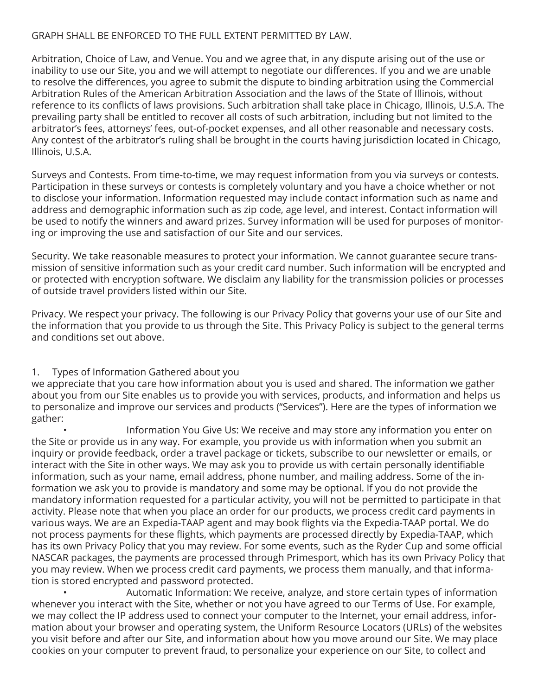#### GRAPH SHALL BE ENFORCED TO THE FULL EXTENT PERMITTED BY LAW.

Arbitration, Choice of Law, and Venue. You and we agree that, in any dispute arising out of the use or inability to use our Site, you and we will attempt to negotiate our differences. If you and we are unable to resolve the differences, you agree to submit the dispute to binding arbitration using the Commercial Arbitration Rules of the American Arbitration Association and the laws of the State of Illinois, without reference to its conflicts of laws provisions. Such arbitration shall take place in Chicago, Illinois, U.S.A. The prevailing party shall be entitled to recover all costs of such arbitration, including but not limited to the arbitrator's fees, attorneys' fees, out-of-pocket expenses, and all other reasonable and necessary costs. Any contest of the arbitrator's ruling shall be brought in the courts having jurisdiction located in Chicago, Illinois, U.S.A.

Surveys and Contests. From time-to-time, we may request information from you via surveys or contests. Participation in these surveys or contests is completely voluntary and you have a choice whether or not to disclose your information. Information requested may include contact information such as name and address and demographic information such as zip code, age level, and interest. Contact information will be used to notify the winners and award prizes. Survey information will be used for purposes of monitoring or improving the use and satisfaction of our Site and our services.

Security. We take reasonable measures to protect your information. We cannot guarantee secure transmission of sensitive information such as your credit card number. Such information will be encrypted and or protected with encryption software. We disclaim any liability for the transmission policies or processes of outside travel providers listed within our Site.

Privacy. We respect your privacy. The following is our Privacy Policy that governs your use of our Site and the information that you provide to us through the Site. This Privacy Policy is subject to the general terms and conditions set out above.

#### 1. Types of Information Gathered about you

we appreciate that you care how information about you is used and shared. The information we gather about you from our Site enables us to provide you with services, products, and information and helps us to personalize and improve our services and products ("Services"). Here are the types of information we gather:

 • Information You Give Us: We receive and may store any information you enter on the Site or provide us in any way. For example, you provide us with information when you submit an inquiry or provide feedback, order a travel package or tickets, subscribe to our newsletter or emails, or interact with the Site in other ways. We may ask you to provide us with certain personally identifiable information, such as your name, email address, phone number, and mailing address. Some of the information we ask you to provide is mandatory and some may be optional. If you do not provide the mandatory information requested for a particular activity, you will not be permitted to participate in that activity. Please note that when you place an order for our products, we process credit card payments in various ways. We are an Expedia-TAAP agent and may book flights via the Expedia-TAAP portal. We do not process payments for these flights, which payments are processed directly by Expedia-TAAP, which has its own Privacy Policy that you may review. For some events, such as the Ryder Cup and some official NASCAR packages, the payments are processed through Primesport, which has its own Privacy Policy that you may review. When we process credit card payments, we process them manually, and that information is stored encrypted and password protected.

 • Automatic Information: We receive, analyze, and store certain types of information whenever you interact with the Site, whether or not you have agreed to our Terms of Use. For example, we may collect the IP address used to connect your computer to the Internet, your email address, information about your browser and operating system, the Uniform Resource Locators (URLs) of the websites you visit before and after our Site, and information about how you move around our Site. We may place cookies on your computer to prevent fraud, to personalize your experience on our Site, to collect and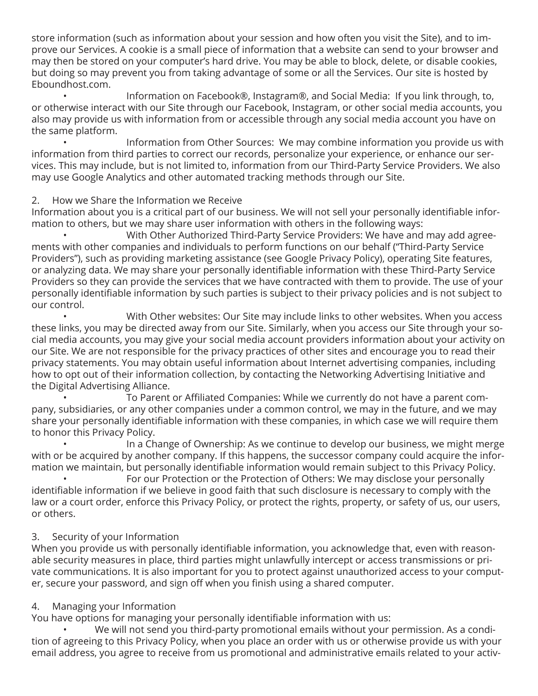store information (such as information about your session and how often you visit the Site), and to improve our Services. A cookie is a small piece of information that a website can send to your browser and may then be stored on your computer's hard drive. You may be able to block, delete, or disable cookies, but doing so may prevent you from taking advantage of some or all the Services. Our site is hosted by Eboundhost.com.

 • Information on Facebook®, Instagram®, and Social Media: If you link through, to, or otherwise interact with our Site through our Facebook, Instagram, or other social media accounts, you also may provide us with information from or accessible through any social media account you have on the same platform.

 • Information from Other Sources: We may combine information you provide us with information from third parties to correct our records, personalize your experience, or enhance our services. This may include, but is not limited to, information from our Third-Party Service Providers. We also may use Google Analytics and other automated tracking methods through our Site.

#### 2. How we Share the Information we Receive

Information about you is a critical part of our business. We will not sell your personally identifiable information to others, but we may share user information with others in the following ways:

 • With Other Authorized Third-Party Service Providers: We have and may add agreements with other companies and individuals to perform functions on our behalf ("Third-Party Service Providers"), such as providing marketing assistance (see Google Privacy Policy), operating Site features, or analyzing data. We may share your personally identifiable information with these Third-Party Service Providers so they can provide the services that we have contracted with them to provide. The use of your personally identifiable information by such parties is subject to their privacy policies and is not subject to our control.

 • With Other websites: Our Site may include links to other websites. When you access these links, you may be directed away from our Site. Similarly, when you access our Site through your social media accounts, you may give your social media account providers information about your activity on our Site. We are not responsible for the privacy practices of other sites and encourage you to read their privacy statements. You may obtain useful information about Internet advertising companies, including how to opt out of their information collection, by contacting the Networking Advertising Initiative and the Digital Advertising Alliance.

 • To Parent or Affiliated Companies: While we currently do not have a parent company, subsidiaries, or any other companies under a common control, we may in the future, and we may share your personally identifiable information with these companies, in which case we will require them to honor this Privacy Policy.

In a Change of Ownership: As we continue to develop our business, we might merge with or be acquired by another company. If this happens, the successor company could acquire the information we maintain, but personally identifiable information would remain subject to this Privacy Policy.

 • For our Protection or the Protection of Others: We may disclose your personally identifiable information if we believe in good faith that such disclosure is necessary to comply with the law or a court order, enforce this Privacy Policy, or protect the rights, property, or safety of us, our users, or others.

# 3. Security of your Information

When you provide us with personally identifiable information, you acknowledge that, even with reasonable security measures in place, third parties might unlawfully intercept or access transmissions or private communications. It is also important for you to protect against unauthorized access to your computer, secure your password, and sign off when you finish using a shared computer.

#### 4. Managing your Information

You have options for managing your personally identifiable information with us:

 • We will not send you third-party promotional emails without your permission. As a condition of agreeing to this Privacy Policy, when you place an order with us or otherwise provide us with your email address, you agree to receive from us promotional and administrative emails related to your activ-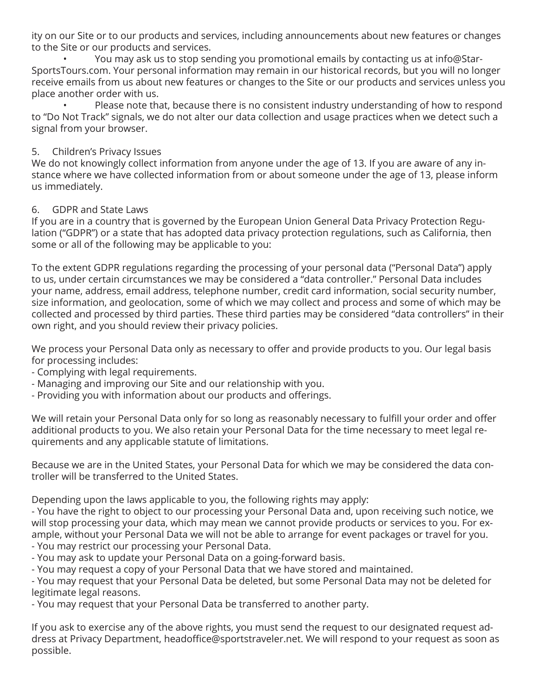ity on our Site or to our products and services, including announcements about new features or changes to the Site or our products and services.

 • You may ask us to stop sending you promotional emails by contacting us at info@Star-SportsTours.com. Your personal information may remain in our historical records, but you will no longer receive emails from us about new features or changes to the Site or our products and services unless you place another order with us.

 • Please note that, because there is no consistent industry understanding of how to respond to "Do Not Track" signals, we do not alter our data collection and usage practices when we detect such a signal from your browser.

#### 5. Children's Privacy Issues

We do not knowingly collect information from anyone under the age of 13. If you are aware of any instance where we have collected information from or about someone under the age of 13, please inform us immediately.

#### 6. GDPR and State Laws

If you are in a country that is governed by the European Union General Data Privacy Protection Regulation ("GDPR") or a state that has adopted data privacy protection regulations, such as California, then some or all of the following may be applicable to you:

To the extent GDPR regulations regarding the processing of your personal data ("Personal Data") apply to us, under certain circumstances we may be considered a "data controller." Personal Data includes your name, address, email address, telephone number, credit card information, social security number, size information, and geolocation, some of which we may collect and process and some of which may be collected and processed by third parties. These third parties may be considered "data controllers" in their own right, and you should review their privacy policies.

We process your Personal Data only as necessary to offer and provide products to you. Our legal basis for processing includes:

- Complying with legal requirements.
- Managing and improving our Site and our relationship with you.
- Providing you with information about our products and offerings.

We will retain your Personal Data only for so long as reasonably necessary to fulfill your order and offer additional products to you. We also retain your Personal Data for the time necessary to meet legal requirements and any applicable statute of limitations.

Because we are in the United States, your Personal Data for which we may be considered the data controller will be transferred to the United States.

Depending upon the laws applicable to you, the following rights may apply:

- You have the right to object to our processing your Personal Data and, upon receiving such notice, we will stop processing your data, which may mean we cannot provide products or services to you. For example, without your Personal Data we will not be able to arrange for event packages or travel for you. - You may restrict our processing your Personal Data.

- You may ask to update your Personal Data on a going-forward basis.
- You may request a copy of your Personal Data that we have stored and maintained.

- You may request that your Personal Data be deleted, but some Personal Data may not be deleted for legitimate legal reasons.

- You may request that your Personal Data be transferred to another party.

If you ask to exercise any of the above rights, you must send the request to our designated request address at Privacy Department, headoffice@sportstraveler.net. We will respond to your request as soon as possible.